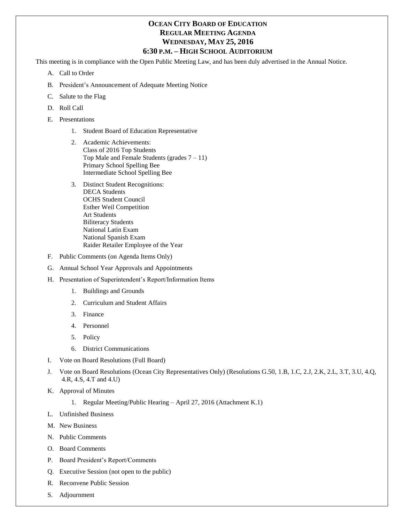## **OCEAN CITY BOARD OF EDUCATION REGULAR MEETING AGENDA WEDNESDAY, MAY 25, 2016 6:30 P.M. – HIGH SCHOOL AUDITORIUM**

This meeting is in compliance with the Open Public Meeting Law, and has been duly advertised in the Annual Notice.

- A. Call to Order
- B. President's Announcement of Adequate Meeting Notice
- C. Salute to the Flag
- D. Roll Call
- E. Presentations
	- 1. Student Board of Education Representative
	- 2. Academic Achievements: Class of 2016 Top Students Top Male and Female Students (grades  $7 - 11$ ) Primary School Spelling Bee Intermediate School Spelling Bee
	- 3. Distinct Student Recognitions: DECA Students OCHS Student Council Esther Weil Competition Art Students Biliteracy Students National Latin Exam National Spanish Exam Raider Retailer Employee of the Year
- F. Public Comments (on Agenda Items Only)
- G. Annual School Year Approvals and Appointments
- H. Presentation of Superintendent's Report/Information Items
	- 1. Buildings and Grounds
	- 2. Curriculum and Student Affairs
	- 3. Finance
	- 4. Personnel
	- 5. Policy
	- 6. District Communications
- I. Vote on Board Resolutions (Full Board)
- J. Vote on Board Resolutions (Ocean City Representatives Only) (Resolutions G.50, 1.B, 1.C, 2.J, 2.K, 2.L, 3.T, 3.U, 4.Q, 4.R, 4.S, 4.T and 4.U)
- K. Approval of Minutes
	- 1. Regular Meeting/Public Hearing April 27, 2016 (Attachment K.1)
- L. Unfinished Business
- M. New Business
- N. Public Comments
- O. Board Comments
- P. Board President's Report/Comments
- Q. Executive Session (not open to the public)
- R. Reconvene Public Session
- S. Adjournment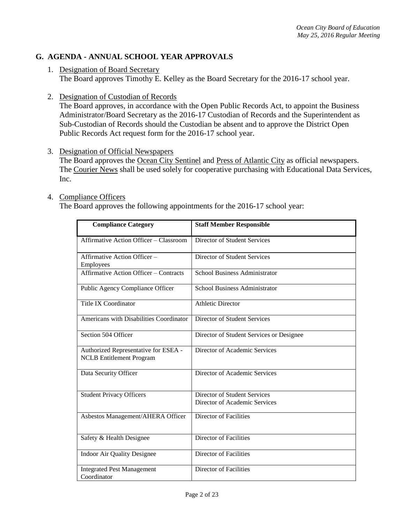# **G. AGENDA - ANNUAL SCHOOL YEAR APPROVALS**

- 1. Designation of Board Secretary The Board approves Timothy E. Kelley as the Board Secretary for the 2016-17 school year.
- 2. Designation of Custodian of Records

The Board approves, in accordance with the Open Public Records Act, to appoint the Business Administrator/Board Secretary as the 2016-17 Custodian of Records and the Superintendent as Sub-Custodian of Records should the Custodian be absent and to approve the District Open Public Records Act request form for the 2016-17 school year.

3. Designation of Official Newspapers

The Board approves the Ocean City Sentinel and Press of Atlantic City as official newspapers. The Courier News shall be used solely for cooperative purchasing with Educational Data Services, Inc.

#### 4. Compliance Officers

The Board approves the following appointments for the 2016-17 school year:

| <b>Compliance Category</b>                                              | <b>Staff Member Responsible</b>                               |
|-------------------------------------------------------------------------|---------------------------------------------------------------|
| Affirmative Action Officer - Classroom                                  | Director of Student Services                                  |
| Affirmative Action Officer -<br><b>Employees</b>                        | Director of Student Services                                  |
| <b>Affirmative Action Officer - Contracts</b>                           | <b>School Business Administrator</b>                          |
| Public Agency Compliance Officer                                        | School Business Administrator                                 |
| <b>Title IX Coordinator</b>                                             | <b>Athletic Director</b>                                      |
| Americans with Disabilities Coordinator                                 | <b>Director of Student Services</b>                           |
| Section 504 Officer                                                     | Director of Student Services or Designee                      |
| Authorized Representative for ESEA -<br><b>NCLB</b> Entitlement Program | Director of Academic Services                                 |
| Data Security Officer                                                   | Director of Academic Services                                 |
| <b>Student Privacy Officers</b>                                         | Director of Student Services<br>Director of Academic Services |
| Asbestos Management/AHERA Officer                                       | <b>Director of Facilities</b>                                 |
| Safety & Health Designee                                                | <b>Director of Facilities</b>                                 |
| <b>Indoor Air Quality Designee</b>                                      | Director of Facilities                                        |
| <b>Integrated Pest Management</b><br>Coordinator                        | <b>Director of Facilities</b>                                 |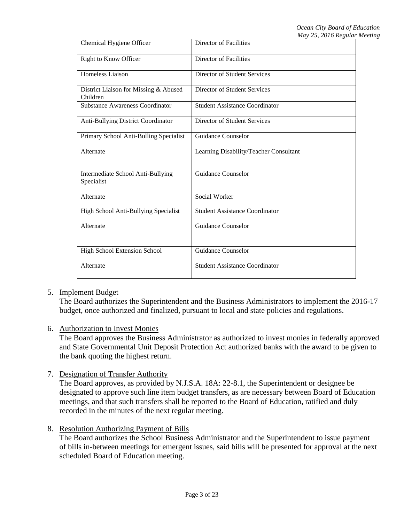| Chemical Hygiene Officer                          | <b>Director of Facilities</b>          |
|---------------------------------------------------|----------------------------------------|
| Right to Know Officer                             | Director of Facilities                 |
| Homeless Liaison                                  | Director of Student Services           |
| District Liaison for Missing & Abused<br>Children | Director of Student Services           |
| <b>Substance Awareness Coordinator</b>            | <b>Student Assistance Coordinator</b>  |
| Anti-Bullying District Coordinator                | Director of Student Services           |
| Primary School Anti-Bulling Specialist            | Guidance Counselor                     |
| Alternate                                         | Learning Disability/Teacher Consultant |
|                                                   |                                        |
| Intermediate School Anti-Bullying<br>Specialist   | Guidance Counselor                     |
| Alternate                                         | Social Worker                          |
| High School Anti-Bullying Specialist              | <b>Student Assistance Coordinator</b>  |
| Alternate                                         | Guidance Counselor                     |
|                                                   |                                        |
| High School Extension School                      | Guidance Counselor                     |
| Alternate                                         | <b>Student Assistance Coordinator</b>  |
|                                                   |                                        |

## 5. Implement Budget

The Board authorizes the Superintendent and the Business Administrators to implement the 2016-17 budget, once authorized and finalized, pursuant to local and state policies and regulations.

## 6. Authorization to Invest Monies

The Board approves the Business Administrator as authorized to invest monies in federally approved and State Governmental Unit Deposit Protection Act authorized banks with the award to be given to the bank quoting the highest return.

## 7. Designation of Transfer Authority

The Board approves, as provided by N.J.S.A. 18A: 22-8.1, the Superintendent or designee be designated to approve such line item budget transfers, as are necessary between Board of Education meetings, and that such transfers shall be reported to the Board of Education, ratified and duly recorded in the minutes of the next regular meeting.

## 8. Resolution Authorizing Payment of Bills

The Board authorizes the School Business Administrator and the Superintendent to issue payment of bills in-between meetings for emergent issues, said bills will be presented for approval at the next scheduled Board of Education meeting.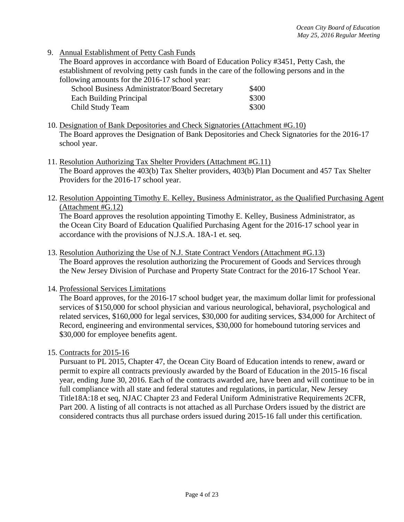9. Annual Establishment of Petty Cash Funds

The Board approves in accordance with Board of Education Policy #3451, Petty Cash, the establishment of revolving petty cash funds in the care of the following persons and in the following amounts for the 2016-17 school year:

| School Business Administrator/Board Secretary | \$400 |
|-----------------------------------------------|-------|
| Each Building Principal                       | \$300 |
| Child Study Team                              | \$300 |

- 10. Designation of Bank Depositories and Check Signatories (Attachment #G.10) The Board approves the Designation of Bank Depositories and Check Signatories for the 2016-17 school year.
- 11. Resolution Authorizing Tax Shelter Providers (Attachment #G.11) The Board approves the 403(b) Tax Shelter providers, 403(b) Plan Document and 457 Tax Shelter Providers for the 2016-17 school year.
- 12. Resolution Appointing Timothy E. Kelley, Business Administrator, as the Qualified Purchasing Agent (Attachment #G.12)

The Board approves the resolution appointing Timothy E. Kelley, Business Administrator, as the Ocean City Board of Education Qualified Purchasing Agent for the 2016-17 school year in accordance with the provisions of N.J.S.A. 18A-1 et. seq.

13. Resolution Authorizing the Use of N.J. State Contract Vendors (Attachment #G.13) The Board approves the resolution authorizing the Procurement of Goods and Services through the New Jersey Division of Purchase and Property State Contract for the 2016-17 School Year.

## 14. Professional Services Limitations

The Board approves, for the 2016-17 school budget year, the maximum dollar limit for professional services of \$150,000 for school physician and various neurological, behavioral, psychological and related services, \$160,000 for legal services, \$30,000 for auditing services, \$34,000 for Architect of Record, engineering and environmental services, \$30,000 for homebound tutoring services and \$30,000 for employee benefits agent.

15. Contracts for 2015-16

Pursuant to PL 2015, Chapter 47, the Ocean City Board of Education intends to renew, award or permit to expire all contracts previously awarded by the Board of Education in the 2015-16 fiscal year, ending June 30, 2016. Each of the contracts awarded are, have been and will continue to be in full compliance with all state and federal statutes and regulations, in particular, New Jersey Title18A:18 et seq, NJAC Chapter 23 and Federal Uniform Administrative Requirements 2CFR, Part 200. A listing of all contracts is not attached as all Purchase Orders issued by the district are considered contracts thus all purchase orders issued during 2015-16 fall under this certification.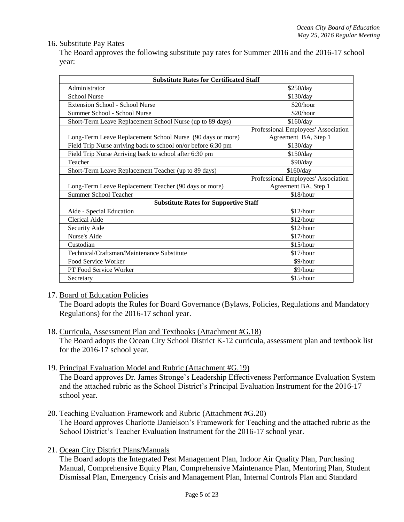## 16. Substitute Pay Rates

The Board approves the following substitute pay rates for Summer 2016 and the 2016-17 school year:

| <b>Substitute Rates for Certificated Staff</b>                |                                     |  |
|---------------------------------------------------------------|-------------------------------------|--|
| Administrator                                                 | \$250/day                           |  |
| <b>School Nurse</b>                                           | \$130/day                           |  |
| <b>Extension School - School Nurse</b>                        | \$20/hour                           |  |
| Summer School - School Nurse                                  | \$20/hour                           |  |
| Short-Term Leave Replacement School Nurse (up to 89 days)     | \$160/day                           |  |
|                                                               | Professional Employees' Association |  |
| Long-Term Leave Replacement School Nurse (90 days or more)    | Agreement BA, Step 1                |  |
| Field Trip Nurse arriving back to school on/or before 6:30 pm | \$130/day                           |  |
| Field Trip Nurse Arriving back to school after 6:30 pm        | \$150/day                           |  |
| Teacher                                                       | \$90/day                            |  |
| Short-Term Leave Replacement Teacher (up to 89 days)          | \$160/day                           |  |
|                                                               | Professional Employees' Association |  |
| Long-Term Leave Replacement Teacher (90 days or more)         | Agreement BA, Step 1                |  |
| <b>Summer School Teacher</b>                                  | \$18/hour                           |  |
| <b>Substitute Rates for Supportive Staff</b>                  |                                     |  |
| Aide - Special Education                                      | \$12/hour                           |  |
| Clerical Aide                                                 | \$12/hour                           |  |
| Security Aide                                                 | \$12/hour                           |  |
| Nurse's Aide                                                  | \$17/hour                           |  |
| Custodian                                                     | \$15/hour                           |  |
| Technical/Craftsman/Maintenance Substitute                    | \$17/hour                           |  |
| Food Service Worker                                           | \$9/hour                            |  |
| PT Food Service Worker                                        | \$9/hour                            |  |
| Secretary                                                     | \$15/hour                           |  |

## 17. Board of Education Policies

The Board adopts the Rules for Board Governance (Bylaws, Policies, Regulations and Mandatory Regulations) for the 2016-17 school year.

- 18. Curricula, Assessment Plan and Textbooks (Attachment #G.18) The Board adopts the Ocean City School District K-12 curricula, assessment plan and textbook list for the 2016-17 school year.
- 19. Principal Evaluation Model and Rubric (Attachment #G.19)

The Board approves Dr. James Stronge's Leadership Effectiveness Performance Evaluation System and the attached rubric as the School District's Principal Evaluation Instrument for the 2016-17 school year.

- 20. Teaching Evaluation Framework and Rubric (Attachment #G.20) The Board approves Charlotte Danielson's Framework for Teaching and the attached rubric as the School District's Teacher Evaluation Instrument for the 2016-17 school year.
- 21. Ocean City District Plans/Manuals

The Board adopts the Integrated Pest Management Plan, Indoor Air Quality Plan, Purchasing Manual, Comprehensive Equity Plan, Comprehensive Maintenance Plan, Mentoring Plan, Student Dismissal Plan, Emergency Crisis and Management Plan, Internal Controls Plan and Standard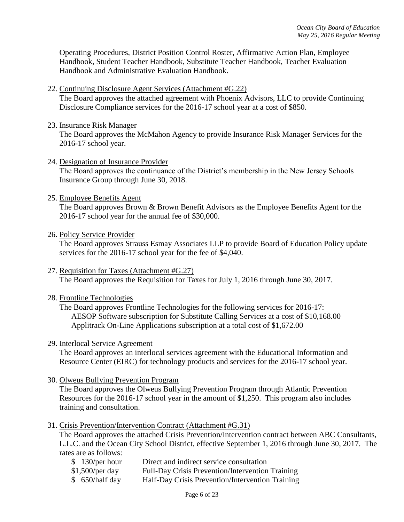Operating Procedures, District Position Control Roster, Affirmative Action Plan, Employee Handbook, Student Teacher Handbook, Substitute Teacher Handbook, Teacher Evaluation Handbook and Administrative Evaluation Handbook.

22. Continuing Disclosure Agent Services (Attachment #G.22)

The Board approves the attached agreement with Phoenix Advisors, LLC to provide Continuing Disclosure Compliance services for the 2016-17 school year at a cost of \$850.

23. Insurance Risk Manager

The Board approves the McMahon Agency to provide Insurance Risk Manager Services for the 2016-17 school year.

24. Designation of Insurance Provider

The Board approves the continuance of the District's membership in the New Jersey Schools Insurance Group through June 30, 2018.

25. Employee Benefits Agent

The Board approves Brown & Brown Benefit Advisors as the Employee Benefits Agent for the 2016-17 school year for the annual fee of \$30,000.

26. Policy Service Provider

The Board approves Strauss Esmay Associates LLP to provide Board of Education Policy update services for the 2016-17 school year for the fee of \$4,040.

- 27. Requisition for Taxes (Attachment #G.27) The Board approves the Requisition for Taxes for July 1, 2016 through June 30, 2017.
- 28. Frontline Technologies

The Board approves Frontline Technologies for the following services for 2016-17: AESOP Software subscription for Substitute Calling Services at a cost of \$10,168.00 Applitrack On-Line Applications subscription at a total cost of \$1,672.00

#### 29. Interlocal Service Agreement

The Board approves an interlocal services agreement with the Educational Information and Resource Center (EIRC) for technology products and services for the 2016-17 school year.

30. Olweus Bullying Prevention Program

The Board approves the Olweus Bullying Prevention Program through Atlantic Prevention Resources for the 2016-17 school year in the amount of \$1,250. This program also includes training and consultation.

31. Crisis Prevention/Intervention Contract (Attachment #G.31)

The Board approves the attached Crisis Prevention/Intervention contract between ABC Consultants, L.L.C. and the Ocean City School District, effective September 1, 2016 through June 30, 2017. The rates are as follows:

- \$ 130/per hour Direct and indirect service consultation
- \$1,500/per day Full-Day Crisis Prevention/Intervention Training
- \$ 650/half day Half-Day Crisis Prevention/Intervention Training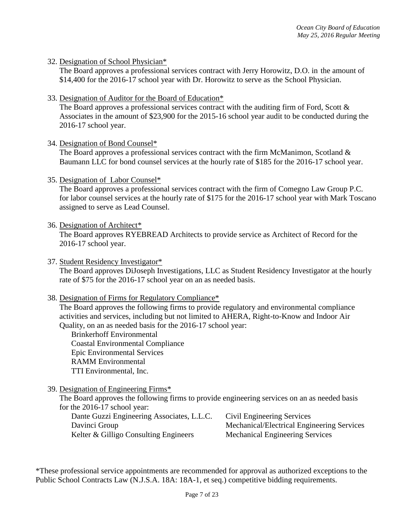32. Designation of School Physician\*

The Board approves a professional services contract with Jerry Horowitz, D.O. in the amount of \$14,400 for the 2016-17 school year with Dr. Horowitz to serve as the School Physician.

33. Designation of Auditor for the Board of Education\*

The Board approves a professional services contract with the auditing firm of Ford, Scott  $\&$ Associates in the amount of \$23,900 for the 2015-16 school year audit to be conducted during the 2016-17 school year.

34. Designation of Bond Counsel\*

The Board approves a professional services contract with the firm McManimon, Scotland  $\&$ Baumann LLC for bond counsel services at the hourly rate of \$185 for the 2016-17 school year.

35. Designation of Labor Counsel\*

The Board approves a professional services contract with the firm of Comegno Law Group P.C. for labor counsel services at the hourly rate of \$175 for the 2016-17 school year with Mark Toscano assigned to serve as Lead Counsel.

36. Designation of Architect\*

The Board approves RYEBREAD Architects to provide service as Architect of Record for the 2016-17 school year.

37. Student Residency Investigator\* The Board approves DiJoseph Investigations, LLC as Student Residency Investigator at the hourly rate of \$75 for the 2016-17 school year on an as needed basis.

## 38. Designation of Firms for Regulatory Compliance\*

The Board approves the following firms to provide regulatory and environmental compliance activities and services, including but not limited to AHERA, Right-to-Know and Indoor Air Quality, on an as needed basis for the 2016-17 school year:

Brinkerhoff Environmental Coastal Environmental Compliance Epic Environmental Services RAMM Environmental TTI Environmental, Inc.

39. Designation of Engineering Firms\*

The Board approves the following firms to provide engineering services on an as needed basis for the 2016-17 school year:

Dante Guzzi Engineering Associates, L.L.C. Civil Engineering Services Davinci Group Mechanical/Electrical Engineering Services Kelter & Gilligo Consulting Engineers Mechanical Engineering Services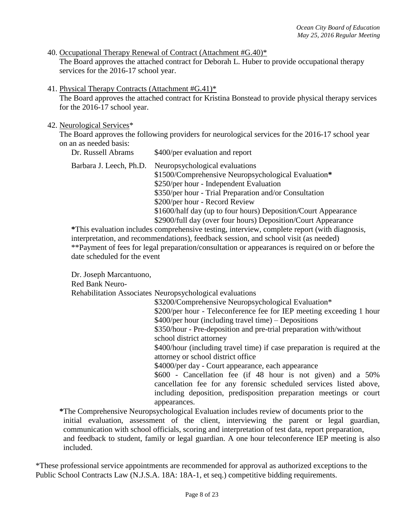- 40. Occupational Therapy Renewal of Contract (Attachment #G.40)\* The Board approves the attached contract for Deborah L. Huber to provide occupational therapy services for the 2016-17 school year.
- 41. Physical Therapy Contracts (Attachment #G.41)\*

The Board approves the attached contract for Kristina Bonstead to provide physical therapy services for the 2016-17 school year.

#### 42. Neurological Services\*

The Board approves the following providers for neurological services for the 2016-17 school year on an as needed basis:

| Dr. Russell Abrams      | \$400/per evaluation and report                                                                                                                                                                                                                                                                                                                                 |
|-------------------------|-----------------------------------------------------------------------------------------------------------------------------------------------------------------------------------------------------------------------------------------------------------------------------------------------------------------------------------------------------------------|
| Barbara J. Leech, Ph.D. | Neuropsychological evaluations<br>\$1500/Comprehensive Neuropsychological Evaluation*<br>\$250/per hour - Independent Evaluation<br>\$350/per hour - Trial Preparation and/or Consultation<br>\$200/per hour - Record Review<br>\$1600/half day (up to four hours) Deposition/Court Appearance<br>\$2900/full day (over four hours) Deposition/Court Appearance |

**\***This evaluation includes comprehensive testing, interview, complete report (with diagnosis, interpretation, and recommendations), feedback session, and school visit (as needed) \*\*Payment of fees for legal preparation/consultation or appearances is required on or before the date scheduled for the event

Dr. Joseph Marcantuono,

Red Bank Neuro-

Rehabilitation Associates Neuropsychological evaluations

\$3200/Comprehensive Neuropsychological Evaluation\* \$200/per hour - Teleconference fee for IEP meeting exceeding 1 hour \$400/per hour (including travel time) – Depositions \$350/hour - Pre-deposition and pre-trial preparation with/without school district attorney \$400/hour (including travel time) if case preparation is required at the attorney or school district office \$4000/per day - Court appearance, each appearance \$600 - Cancellation fee (if 48 hour is not given) and a 50% cancellation fee for any forensic scheduled services listed above, including deposition, predisposition preparation meetings or court appearances.

**\***The Comprehensive Neuropsychological Evaluation includes review of documents prior to the initial evaluation, assessment of the client, interviewing the parent or legal guardian, communication with school officials, scoring and interpretation of test data, report preparation, and feedback to student, family or legal guardian. A one hour teleconference IEP meeting is also included.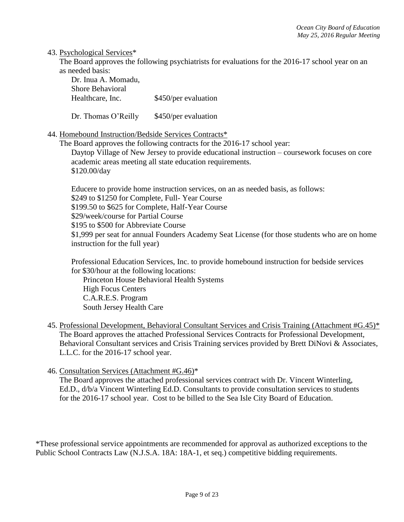#### 43. Psychological Services\*

The Board approves the following psychiatrists for evaluations for the 2016-17 school year on an as needed basis:

| Dr. Inua A. Momadu,     |                      |
|-------------------------|----------------------|
| <b>Shore Behavioral</b> |                      |
| Healthcare, Inc.        | \$450/per evaluation |

Dr. Thomas O'Reilly \$450/per evaluation

## 44. Homebound Instruction/Bedside Services Contracts\*

The Board approves the following contracts for the 2016-17 school year: Daytop Village of New Jersey to provide educational instruction – coursework focuses on core academic areas meeting all state education requirements. \$120.00/day

Educere to provide home instruction services, on an as needed basis, as follows: \$249 to \$1250 for Complete, Full- Year Course \$199.50 to \$625 for Complete, Half-Year Course \$29/week/course for Partial Course \$195 to \$500 for Abbreviate Course \$1,999 per seat for annual Founders Academy Seat License (for those students who are on home instruction for the full year)

Professional Education Services, Inc. to provide homebound instruction for bedside services for \$30/hour at the following locations:

Princeton House Behavioral Health Systems High Focus Centers C.A.R.E.S. Program South Jersey Health Care

- 45. Professional Development, Behavioral Consultant Services and Crisis Training (Attachment #G.45)\* The Board approves the attached Professional Services Contracts for Professional Development, Behavioral Consultant services and Crisis Training services provided by Brett DiNovi & Associates, L.L.C. for the 2016-17 school year.
- 46. Consultation Services (Attachment #G.46)\*

The Board approves the attached professional services contract with Dr. Vincent Winterling, Ed.D., d/b/a Vincent Winterling Ed.D. Consultants to provide consultation services to students for the 2016-17 school year. Cost to be billed to the Sea Isle City Board of Education.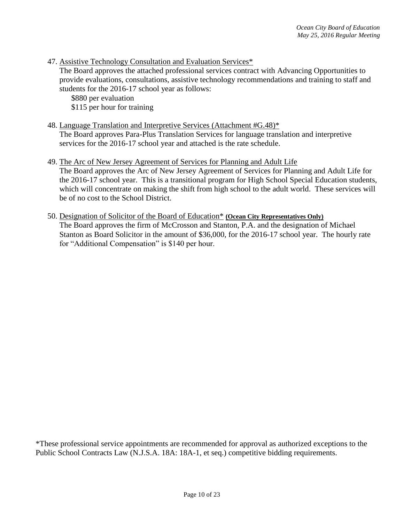47. Assistive Technology Consultation and Evaluation Services\*

The Board approves the attached professional services contract with Advancing Opportunities to provide evaluations, consultations, assistive technology recommendations and training to staff and students for the 2016-17 school year as follows:

\$880 per evaluation \$115 per hour for training

48. Language Translation and Interpretive Services (Attachment #G.48)\*

The Board approves Para-Plus Translation Services for language translation and interpretive services for the 2016-17 school year and attached is the rate schedule.

49. The Arc of New Jersey Agreement of Services for Planning and Adult Life

The Board approves the Arc of New Jersey Agreement of Services for Planning and Adult Life for the 2016-17 school year. This is a transitional program for High School Special Education students, which will concentrate on making the shift from high school to the adult world. These services will be of no cost to the School District.

50. Designation of Solicitor of the Board of Education\* **(Ocean City Representatives Only)** The Board approves the firm of McCrosson and Stanton, P.A. and the designation of Michael Stanton as Board Solicitor in the amount of \$36,000, for the 2016-17 school year. The hourly rate for "Additional Compensation" is \$140 per hour.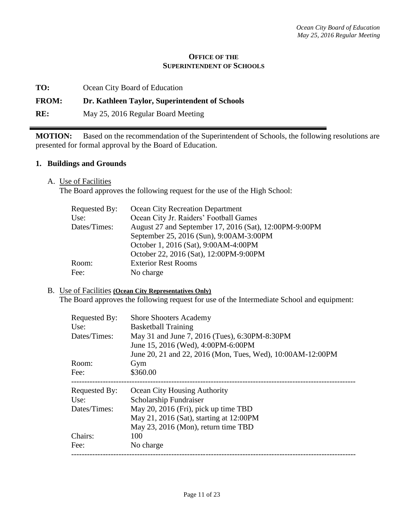#### **OFFICE OF THE SUPERINTENDENT OF SCHOOLS**

## **FROM: Dr. Kathleen Taylor, Superintendent of Schools**

**RE:** May 25, 2016 Regular Board Meeting

**MOTION:** Based on the recommendation of the Superintendent of Schools, the following resolutions are presented for formal approval by the Board of Education.

## **1. Buildings and Grounds**

A. Use of Facilities

The Board approves the following request for the use of the High School:

| Requested By: | <b>Ocean City Recreation Department</b>                |
|---------------|--------------------------------------------------------|
| Use:          | Ocean City Jr. Raiders' Football Games                 |
| Dates/Times:  | August 27 and September 17, 2016 (Sat), 12:00PM-9:00PM |
|               | September 25, 2016 (Sun), 9:00AM-3:00PM                |
|               | October 1, 2016 (Sat), 9:00AM-4:00PM                   |
|               | October 22, 2016 (Sat), 12:00PM-9:00PM                 |
| Room:         | <b>Exterior Rest Rooms</b>                             |
| Fee:          | No charge                                              |
|               |                                                        |

#### B. Use of Facilities **(Ocean City Representatives Only)**

The Board approves the following request for use of the Intermediate School and equipment:

| Requested By:        | <b>Shore Shooters Academy</b>                                               |
|----------------------|-----------------------------------------------------------------------------|
| Use:<br>Dates/Times: | <b>Basketball Training</b><br>May 31 and June 7, 2016 (Tues), 6:30PM-8:30PM |
|                      | June 15, 2016 (Wed), 4:00PM-6:00PM                                          |
|                      | June 20, 21 and 22, 2016 (Mon, Tues, Wed), 10:00AM-12:00PM                  |
| Room:                | Gym                                                                         |
| Fee:                 | \$360.00                                                                    |
| Requested By:        | Ocean City Housing Authority                                                |
| Use:                 | Scholarship Fundraiser                                                      |
| Dates/Times:         | May 20, 2016 (Fri), pick up time TBD                                        |
|                      | May 21, 2016 (Sat), starting at 12:00PM                                     |
|                      | May 23, 2016 (Mon), return time TBD                                         |
| Chairs:              | 100                                                                         |
| Fee:                 | No charge                                                                   |
|                      |                                                                             |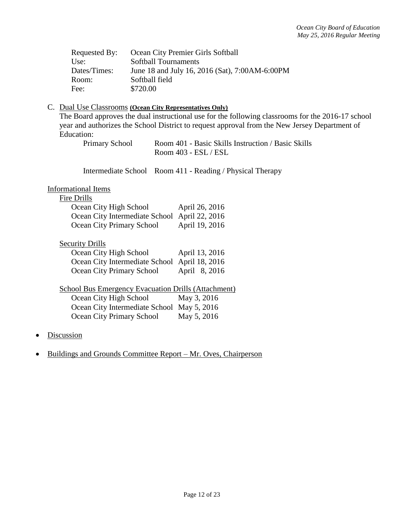| Requested By: | Ocean City Premier Girls Softball              |
|---------------|------------------------------------------------|
| Use:          | <b>Softball Tournaments</b>                    |
| Dates/Times:  | June 18 and July 16, 2016 (Sat), 7:00AM-6:00PM |
| Room:         | Softball field                                 |
| Fee:          | \$720.00                                       |

#### C. Dual Use Classrooms **(Ocean City Representatives Only)**

The Board approves the dual instructional use for the following classrooms for the 2016-17 school year and authorizes the School District to request approval from the New Jersey Department of Education:

Primary School Room 401 - Basic Skills Instruction / Basic Skills Room 403 - ESL / ESL

Intermediate School Room 411 - Reading / Physical Therapy

## Informational Items

#### Fire Drills

| Ocean City High School                        | April 26, 2016 |
|-----------------------------------------------|----------------|
| Ocean City Intermediate School April 22, 2016 |                |
| <b>Ocean City Primary School</b>              | April 19, 2016 |

#### **Security Drills**

| Ocean City High School                        | April 13, 2016 |
|-----------------------------------------------|----------------|
| Ocean City Intermediate School April 18, 2016 |                |
| Ocean City Primary School                     | April 8, 2016  |

School Bus Emergency Evacuation Drills (Attachment)

| Ocean City High School                     | May 3, 2016 |
|--------------------------------------------|-------------|
| Ocean City Intermediate School May 5, 2016 |             |
| Ocean City Primary School                  | May 5, 2016 |

- Discussion
- Buildings and Grounds Committee Report Mr. Oves, Chairperson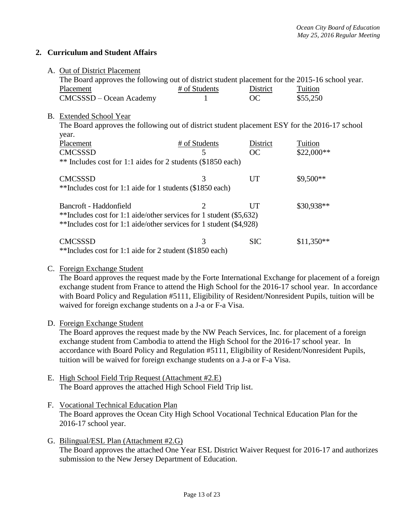## **2. Curriculum and Student Affairs**

|                                                                     | A. Out of District Placement                                                                                                                                                                                                                                                                                                                    |               |            |             |
|---------------------------------------------------------------------|-------------------------------------------------------------------------------------------------------------------------------------------------------------------------------------------------------------------------------------------------------------------------------------------------------------------------------------------------|---------------|------------|-------------|
|                                                                     | The Board approves the following out of district student placement for the 2015-16 school year.                                                                                                                                                                                                                                                 |               |            |             |
|                                                                     | Placement                                                                                                                                                                                                                                                                                                                                       | # of Students | District   | Tuition     |
|                                                                     | CMCSSSD – Ocean Academy                                                                                                                                                                                                                                                                                                                         |               | OC         | \$55,250    |
|                                                                     |                                                                                                                                                                                                                                                                                                                                                 |               |            |             |
|                                                                     | B. Extended School Year                                                                                                                                                                                                                                                                                                                         |               |            |             |
|                                                                     | The Board approves the following out of district student placement ESY for the 2016-17 school                                                                                                                                                                                                                                                   |               |            |             |
|                                                                     | year.                                                                                                                                                                                                                                                                                                                                           |               |            |             |
|                                                                     | Placement                                                                                                                                                                                                                                                                                                                                       | # of Students | District   | Tuition     |
|                                                                     | <b>CMCSSSD</b>                                                                                                                                                                                                                                                                                                                                  | 5             | OC         | $$22,000**$ |
|                                                                     | ** Includes cost for 1:1 aides for 2 students (\$1850 each)                                                                                                                                                                                                                                                                                     |               |            |             |
|                                                                     | <b>CMCSSSD</b>                                                                                                                                                                                                                                                                                                                                  | 3             | UT         | \$9,500**   |
|                                                                     | **Includes cost for 1:1 aide for 1 students (\$1850 each)                                                                                                                                                                                                                                                                                       |               |            |             |
|                                                                     | Bancroft - Haddonfield                                                                                                                                                                                                                                                                                                                          |               | UT         | \$30,938**  |
|                                                                     | **Includes cost for 1:1 aide/other services for 1 student (\$5,632)                                                                                                                                                                                                                                                                             |               |            |             |
| **Includes cost for 1:1 aide/other services for 1 student (\$4,928) |                                                                                                                                                                                                                                                                                                                                                 |               |            |             |
|                                                                     | <b>CMCSSSD</b>                                                                                                                                                                                                                                                                                                                                  | 3             | <b>SIC</b> | $$11,350**$ |
|                                                                     | $\therefore$ $\circ$ $\qquad$ $\qquad$ $\qquad$ $\qquad$ $\qquad$ $\qquad$ $\qquad$ $\qquad$ $\qquad$ $\qquad$ $\qquad$ $\qquad$ $\qquad$ $\qquad$ $\qquad$ $\qquad$ $\qquad$ $\qquad$ $\qquad$ $\qquad$ $\qquad$ $\qquad$ $\qquad$ $\qquad$ $\qquad$ $\qquad$ $\qquad$ $\qquad$ $\qquad$ $\qquad$ $\qquad$ $\qquad$ $\qquad$ $\qquad$ $\qquad$ |               |            |             |

\*\*Includes cost for 1:1 aide for 2 student (\$1850 each)

## C. Foreign Exchange Student

The Board approves the request made by the Forte International Exchange for placement of a foreign exchange student from France to attend the High School for the 2016-17 school year. In accordance with Board Policy and Regulation #5111, Eligibility of Resident/Nonresident Pupils, tuition will be waived for foreign exchange students on a J-a or F-a Visa.

D. Foreign Exchange Student

The Board approves the request made by the NW Peach Services, Inc. for placement of a foreign exchange student from Cambodia to attend the High School for the 2016-17 school year. In accordance with Board Policy and Regulation #5111, Eligibility of Resident/Nonresident Pupils, tuition will be waived for foreign exchange students on a J-a or F-a Visa.

- E. High School Field Trip Request (Attachment #2.E) The Board approves the attached High School Field Trip list.
- F. Vocational Technical Education Plan The Board approves the Ocean City High School Vocational Technical Education Plan for the 2016-17 school year.
- G. Bilingual/ESL Plan (Attachment #2.G) The Board approves the attached One Year ESL District Waiver Request for 2016-17 and authorizes submission to the New Jersey Department of Education.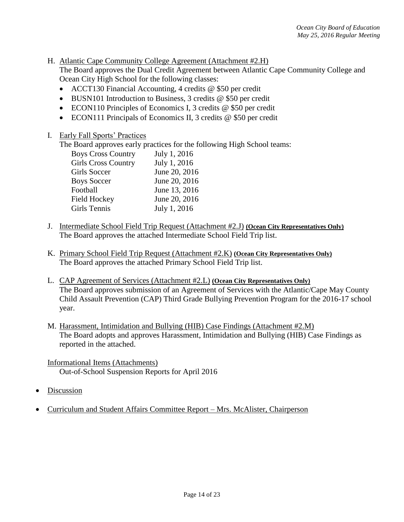H. Atlantic Cape Community College Agreement (Attachment #2.H)

The Board approves the Dual Credit Agreement between Atlantic Cape Community College and Ocean City High School for the following classes:

- ACCT130 Financial Accounting, 4 credits @ \$50 per credit
- BUSN101 Introduction to Business, 3 credits @ \$50 per credit
- ECON110 Principles of Economics I, 3 credits @ \$50 per credit
- ECON111 Principals of Economics II, 3 credits @ \$50 per credit
- I. Early Fall Sports' Practices

The Board approves early practices for the following High School teams:

| <b>Boys Cross Country</b>  | July 1, 2016  |
|----------------------------|---------------|
| <b>Girls Cross Country</b> | July 1, 2016  |
| Girls Soccer               | June 20, 2016 |
| <b>Boys Soccer</b>         | June 20, 2016 |
| Football                   | June 13, 2016 |
| Field Hockey               | June 20, 2016 |
| Girls Tennis               | July 1, 2016  |

- J. Intermediate School Field Trip Request (Attachment #2.J) **(Ocean City Representatives Only)** The Board approves the attached Intermediate School Field Trip list.
- K. Primary School Field Trip Request (Attachment #2.K) **(Ocean City Representatives Only)** The Board approves the attached Primary School Field Trip list.
- L. CAP Agreement of Services (Attachment #2.L) **(Ocean City Representatives Only)** The Board approves submission of an Agreement of Services with the Atlantic/Cape May County Child Assault Prevention (CAP) Third Grade Bullying Prevention Program for the 2016-17 school year.
- M. Harassment, Intimidation and Bullying (HIB) Case Findings (Attachment #2.M) The Board adopts and approves Harassment, Intimidation and Bullying (HIB) Case Findings as reported in the attached.

Informational Items (Attachments) Out-of-School Suspension Reports for April 2016

- Discussion
- Curriculum and Student Affairs Committee Report Mrs. McAlister, Chairperson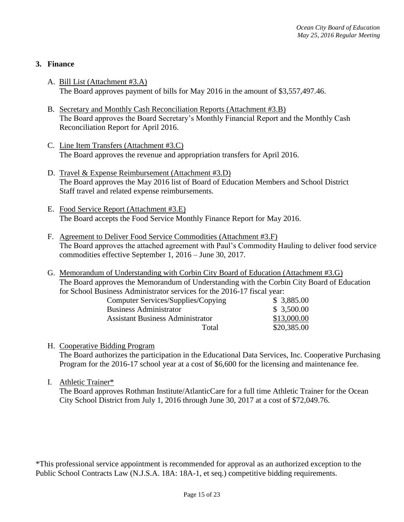## **3. Finance**

- A. Bill List (Attachment #3.A) The Board approves payment of bills for May 2016 in the amount of \$3,557,497.46.
- B. Secretary and Monthly Cash Reconciliation Reports (Attachment #3.B) The Board approves the Board Secretary's Monthly Financial Report and the Monthly Cash Reconciliation Report for April 2016.
- C. Line Item Transfers (Attachment #3.C) The Board approves the revenue and appropriation transfers for April 2016.
- D. Travel & Expense Reimbursement (Attachment #3.D) The Board approves the May 2016 list of Board of Education Members and School District Staff travel and related expense reimbursements.
- E. Food Service Report (Attachment #3.E) The Board accepts the Food Service Monthly Finance Report for May 2016.
- F. Agreement to Deliver Food Service Commodities (Attachment #3.F) The Board approves the attached agreement with Paul's Commodity Hauling to deliver food service commodities effective September 1, 2016 – June 30, 2017.
- G. Memorandum of Understanding with Corbin City Board of Education (Attachment #3.G) The Board approves the Memorandum of Understanding with the Corbin City Board of Education for School Business Administrator services for the 2016-17 fiscal year:

| Computer Services/Supplies/Copying      | \$3,885.00  |
|-----------------------------------------|-------------|
| <b>Business Administrator</b>           | \$3,500.00  |
| <b>Assistant Business Administrator</b> | \$13,000.00 |
| Total                                   | \$20,385.00 |

H. Cooperative Bidding Program

The Board authorizes the participation in the Educational Data Services, Inc. Cooperative Purchasing Program for the 2016-17 school year at a cost of \$6,600 for the licensing and maintenance fee.

I. Athletic Trainer\*

The Board approves Rothman Institute/AtlanticCare for a full time Athletic Trainer for the Ocean City School District from July 1, 2016 through June 30, 2017 at a cost of \$72,049.76.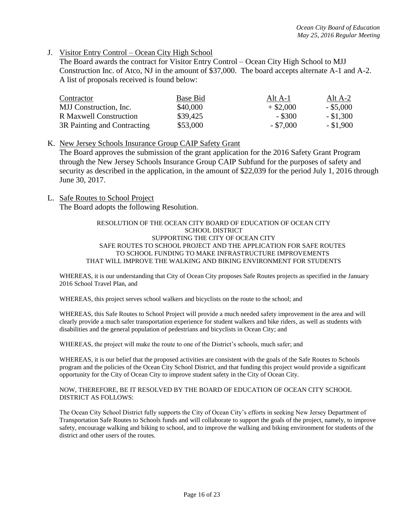#### J. Visitor Entry Control – Ocean City High School

The Board awards the contract for Visitor Entry Control – Ocean City High School to MJJ Construction Inc. of Atco, NJ in the amount of \$37,000. The board accepts alternate A-1 and A-2. A list of proposals received is found below:

| Contractor                    | Base Bid | Alt A-1     | Alt A-2     |
|-------------------------------|----------|-------------|-------------|
| MJJ Construction, Inc.        | \$40,000 | $+$ \$2,000 | $-$ \$5,000 |
| <b>R</b> Maxwell Construction | \$39,425 | $-$ \$300   | $-$ \$1,300 |
| 3R Painting and Contracting   | \$53,000 | $-$ \$7,000 | $-$ \$1,900 |

#### K. New Jersey Schools Insurance Group CAIP Safety Grant

The Board approves the submission of the grant application for the 2016 Safety Grant Program through the New Jersey Schools Insurance Group CAIP Subfund for the purposes of safety and security as described in the application, in the amount of \$22,039 for the period July 1, 2016 through June 30, 2017.

L. Safe Routes to School Project The Board adopts the following Resolution.

#### RESOLUTION OF THE OCEAN CITY BOARD OF EDUCATION OF OCEAN CITY SCHOOL DISTRICT SUPPORTING THE CITY OF OCEAN CITY SAFE ROUTES TO SCHOOL PROJECT AND THE APPLICATION FOR SAFE ROUTES TO SCHOOL FUNDING TO MAKE INFRASTRUCTURE IMPROVEMENTS THAT WILL IMPROVE THE WALKING AND BIKING ENVIRONMENT FOR STUDENTS

WHEREAS, it is our understanding that City of Ocean City proposes Safe Routes projects as specified in the January 2016 School Travel Plan, and

WHEREAS, this project serves school walkers and bicyclists on the route to the school; and

WHEREAS, this Safe Routes to School Project will provide a much needed safety improvement in the area and will clearly provide a much safer transportation experience for student walkers and bike riders, as well as students with disabilities and the general population of pedestrians and bicyclists in Ocean City; and

WHEREAS, the project will make the route to one of the District's schools, much safer; and

WHEREAS, it is our belief that the proposed activities are consistent with the goals of the Safe Routes to Schools program and the policies of the Ocean City School District, and that funding this project would provide a significant opportunity for the City of Ocean City to improve student safety in the City of Ocean City.

#### NOW, THEREFORE, BE IT RESOLVED BY THE BOARD OF EDUCATION OF OCEAN CITY SCHOOL DISTRICT AS FOLLOWS:

The Ocean City School District fully supports the City of Ocean City's efforts in seeking New Jersey Department of Transportation Safe Routes to Schools funds and will collaborate to support the goals of the project, namely, to improve safety, encourage walking and biking to school, and to improve the walking and biking environment for students of the district and other users of the routes.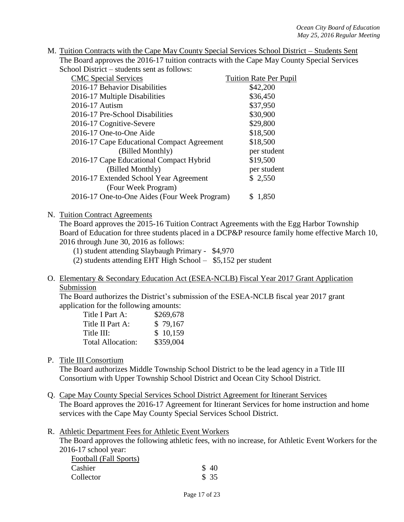| M. Tuition Contracts with the Cape May County Special Services School District – Students Sent |
|------------------------------------------------------------------------------------------------|
| The Board approves the 2016-17 tuition contracts with the Cape May County Special Services     |
| School District – students sent as follows:                                                    |

| <b>CMC Special Services</b>                  | <b>Tuition Rate Per Pupil</b> |
|----------------------------------------------|-------------------------------|
| 2016-17 Behavior Disabilities                | \$42,200                      |
| 2016-17 Multiple Disabilities                | \$36,450                      |
| 2016-17 Autism                               | \$37,950                      |
| 2016-17 Pre-School Disabilities              | \$30,900                      |
| 2016-17 Cognitive-Severe                     | \$29,800                      |
| 2016-17 One-to-One Aide                      | \$18,500                      |
| 2016-17 Cape Educational Compact Agreement   | \$18,500                      |
| (Billed Monthly)                             | per student                   |
| 2016-17 Cape Educational Compact Hybrid      | \$19,500                      |
| (Billed Monthly)                             | per student                   |
| 2016-17 Extended School Year Agreement       | \$2,550                       |
| (Four Week Program)                          |                               |
| 2016-17 One-to-One Aides (Four Week Program) | \$1,850                       |

#### N. Tuition Contract Agreements

The Board approves the 2015-16 Tuition Contract Agreements with the Egg Harbor Township Board of Education for three students placed in a DCP&P resource family home effective March 10, 2016 through June 30, 2016 as follows:

(1) student attending Slaybaugh Primary - \$4,970

(2) students attending EHT High School – \$5,152 per student

O. Elementary & Secondary Education Act (ESEA-NCLB) Fiscal Year 2017 Grant Application Submission

The Board authorizes the District's submission of the ESEA-NCLB fiscal year 2017 grant application for the following amounts:

| Title I Part A:          | \$269,678 |
|--------------------------|-----------|
| Title II Part A:         | \$79,167  |
| Title III:               | \$10,159  |
| <b>Total Allocation:</b> | \$359,004 |

P. Title III Consortium

The Board authorizes Middle Township School District to be the lead agency in a Title III Consortium with Upper Township School District and Ocean City School District.

- Q. Cape May County Special Services School District Agreement for Itinerant Services The Board approves the 2016-17 Agreement for Itinerant Services for home instruction and home services with the Cape May County Special Services School District.
- R. Athletic Department Fees for Athletic Event Workers

The Board approves the following athletic fees, with no increase, for Athletic Event Workers for the 2016-17 school year:

| Football (Fall Sports) |      |
|------------------------|------|
| Cashier                | \$40 |
| Collector              | \$35 |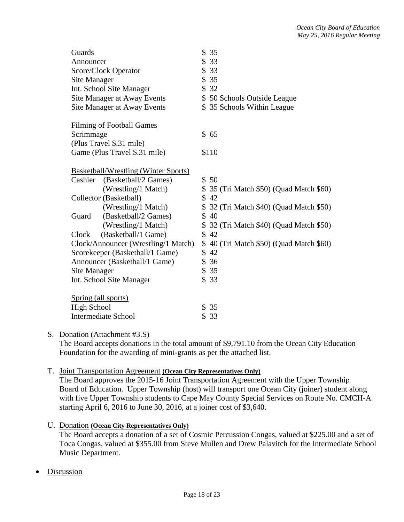| Guards                                      | \$35                                     |
|---------------------------------------------|------------------------------------------|
| Announcer                                   | \$33                                     |
| Score/Clock Operator                        | \$33                                     |
| Site Manager                                | \$35                                     |
| Int. School Site Manager                    | \$32                                     |
| Site Manager at Away Events                 | \$50 Schools Outside League              |
| Site Manager at Away Events                 | \$35 Schools Within League               |
| <b>Filming of Football Games</b>            |                                          |
| Scrimmage                                   | \$65                                     |
| (Plus Travel \$.31 mile)                    |                                          |
| Game (Plus Travel \$.31 mile)               | \$110                                    |
| <b>Basketball/Wrestling (Winter Sports)</b> |                                          |
| Cashier<br>(Basketball/2 Games)             | \$50                                     |
| (Wrestling/1 Match)                         | \$ 35 (Tri Match \$50) (Quad Match \$60) |
| Collector (Basketball)                      | \$42                                     |
| (Wrestling/1 Match)                         | \$ 32 (Tri Match \$40) (Quad Match \$50) |
| (Basketball/2 Games)<br>Guard               | \$40                                     |
| (Wrestling/1 Match)                         | \$ 32 (Tri Match \$40) (Quad Match \$50) |
| (Basketball/1 Game)<br>Clock                | \$42                                     |
| Clock/Announcer (Wrestling/1 Match)         | \$40 (Tri Match \$50) (Quad Match \$60)  |
| Scorekeeper (Basketball/1 Game)             | \$42                                     |
| Announcer (Basketball/1 Game)               | \$36                                     |
| Site Manager                                | \$35                                     |
| Int. School Site Manager                    | \$33                                     |
| Spring (all sports)                         |                                          |
| <b>High School</b>                          | \$35                                     |
| <b>Intermediate School</b>                  | \$33                                     |

## S. Donation (Attachment #3.S)

The Board accepts donations in the total amount of \$9,791.10 from the Ocean City Education Foundation for the awarding of mini-grants as per the attached list.

## T. Joint Transportation Agreement **(Ocean City Representatives Only)**

The Board approves the 2015-16 Joint Transportation Agreement with the Upper Township Board of Education. Upper Township (host) will transport one Ocean City (joiner) student along with five Upper Township students to Cape May County Special Services on Route No. CMCH-A starting April 6, 2016 to June 30, 2016, at a joiner cost of \$3,640.

## U. Donation **(Ocean City Representatives Only)**

The Board accepts a donation of a set of Cosmic Percussion Congas, valued at \$225.00 and a set of Toca Congas, valued at \$355.00 from Steve Mullen and Drew Palavitch for the Intermediate School Music Department.

## Discussion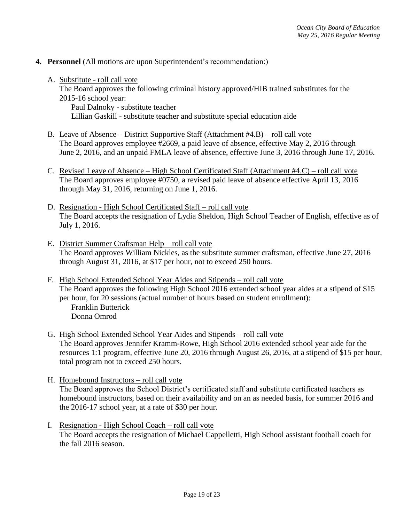- **4. Personnel** (All motions are upon Superintendent's recommendation:)
	- A. Substitute roll call vote The Board approves the following criminal history approved/HIB trained substitutes for the 2015-16 school year: Paul Dalnoky - substitute teacher Lillian Gaskill - substitute teacher and substitute special education aide
	- B. Leave of Absence District Supportive Staff (Attachment #4.B) roll call vote The Board approves employee #2669, a paid leave of absence, effective May 2, 2016 through June 2, 2016, and an unpaid FMLA leave of absence, effective June 3, 2016 through June 17, 2016.
	- C. Revised Leave of Absence High School Certificated Staff (Attachment #4.C) roll call vote The Board approves employee #0750, a revised paid leave of absence effective April 13, 2016 through May 31, 2016, returning on June 1, 2016.
	- D. Resignation High School Certificated Staff roll call vote The Board accepts the resignation of Lydia Sheldon, High School Teacher of English, effective as of July 1, 2016.
	- E. District Summer Craftsman Help roll call vote The Board approves William Nickles, as the substitute summer craftsman, effective June 27, 2016 through August 31, 2016, at \$17 per hour, not to exceed 250 hours.
	- F. High School Extended School Year Aides and Stipends roll call vote The Board approves the following High School 2016 extended school year aides at a stipend of \$15 per hour, for 20 sessions (actual number of hours based on student enrollment): Franklin Butterick Donna Omrod
	- G. High School Extended School Year Aides and Stipends roll call vote The Board approves Jennifer Kramm-Rowe, High School 2016 extended school year aide for the resources 1:1 program, effective June 20, 2016 through August 26, 2016, at a stipend of \$15 per hour, total program not to exceed 250 hours.
	- H. Homebound Instructors roll call vote The Board approves the School District's certificated staff and substitute certificated teachers as homebound instructors, based on their availability and on an as needed basis, for summer 2016 and the 2016-17 school year, at a rate of \$30 per hour.
	- I. Resignation High School Coach roll call vote The Board accepts the resignation of Michael Cappelletti, High School assistant football coach for the fall 2016 season.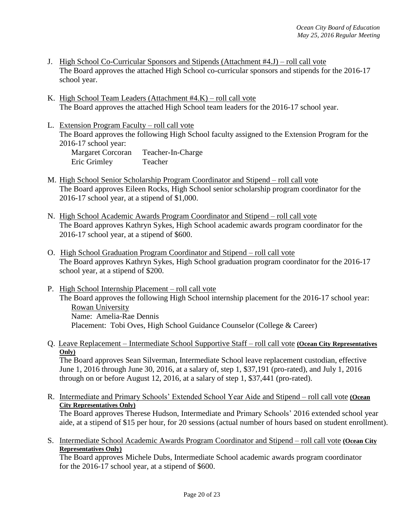- J. High School Co-Curricular Sponsors and Stipends (Attachment #4.J) roll call vote The Board approves the attached High School co-curricular sponsors and stipends for the 2016-17 school year.
- K. High School Team Leaders (Attachment #4.K) roll call vote The Board approves the attached High School team leaders for the 2016-17 school year.
- L. Extension Program Faculty roll call vote The Board approves the following High School faculty assigned to the Extension Program for the 2016-17 school year:

Margaret Corcoran Teacher-In-Charge Eric Grimley Teacher

- M. High School Senior Scholarship Program Coordinator and Stipend roll call vote The Board approves Eileen Rocks, High School senior scholarship program coordinator for the 2016-17 school year, at a stipend of \$1,000.
- N. High School Academic Awards Program Coordinator and Stipend roll call vote The Board approves Kathryn Sykes, High School academic awards program coordinator for the 2016-17 school year, at a stipend of \$600.
- O. High School Graduation Program Coordinator and Stipend roll call vote The Board approves Kathryn Sykes, High School graduation program coordinator for the 2016-17 school year, at a stipend of \$200.
- P. High School Internship Placement roll call vote The Board approves the following High School internship placement for the 2016-17 school year: Rowan University Name: Amelia-Rae Dennis Placement: Tobi Oves, High School Guidance Counselor (College & Career)
- Q. Leave Replacement Intermediate School Supportive Staff roll call vote **(Ocean City Representatives Only)**

The Board approves Sean Silverman, Intermediate School leave replacement custodian, effective June 1, 2016 through June 30, 2016, at a salary of, step 1, \$37,191 (pro-rated), and July 1, 2016 through on or before August 12, 2016, at a salary of step 1, \$37,441 (pro-rated).

R. Intermediate and Primary Schools' Extended School Year Aide and Stipend – roll call vote **(Ocean City Representatives Only)**

The Board approves Therese Hudson, Intermediate and Primary Schools' 2016 extended school year aide, at a stipend of \$15 per hour, for 20 sessions (actual number of hours based on student enrollment).

S. Intermediate School Academic Awards Program Coordinator and Stipend – roll call vote **(Ocean City Representatives Only)**

The Board approves Michele Dubs, Intermediate School academic awards program coordinator for the 2016-17 school year, at a stipend of \$600.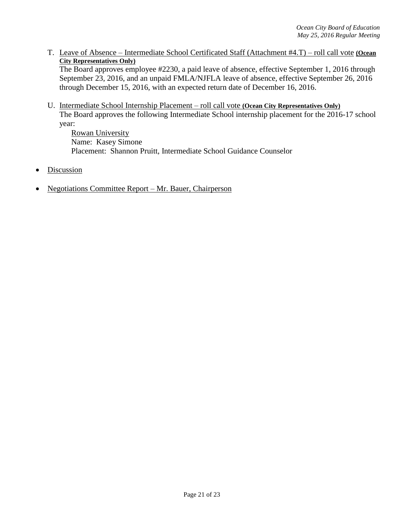T. Leave of Absence – Intermediate School Certificated Staff (Attachment #4.T) – roll call vote **(Ocean City Representatives Only)**

The Board approves employee #2230, a paid leave of absence, effective September 1, 2016 through September 23, 2016, and an unpaid FMLA/NJFLA leave of absence, effective September 26, 2016 through December 15, 2016, with an expected return date of December 16, 2016.

U. Intermediate School Internship Placement – roll call vote **(Ocean City Representatives Only)** The Board approves the following Intermediate School internship placement for the 2016-17 school year:

Rowan University Name: Kasey Simone Placement: Shannon Pruitt, Intermediate School Guidance Counselor

- **Discussion**
- Negotiations Committee Report Mr. Bauer, Chairperson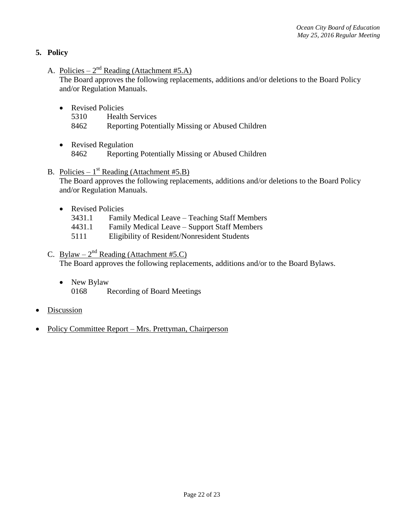# **5. Policy**

A. Policies –  $2^{nd}$  Reading (Attachment #5.A)

The Board approves the following replacements, additions and/or deletions to the Board Policy and/or Regulation Manuals.

- Revised Policies
	- 5310 Health Services
	- 8462 Reporting Potentially Missing or Abused Children
- Revised Regulation 8462 Reporting Potentially Missing or Abused Children
- B. Policies  $1^{st}$  Reading (Attachment #5.B) The Board approves the following replacements, additions and/or deletions to the Board Policy and/or Regulation Manuals.
	- Revised Policies
		- 3431.1 Family Medical Leave Teaching Staff Members
		- 4431.1 Family Medical Leave Support Staff Members
		- 5111 Eligibility of Resident/Nonresident Students
- C. Bylaw  $2^{nd}$  Reading (Attachment #5.C)

The Board approves the following replacements, additions and/or to the Board Bylaws.

• New Bylaw

0168 Recording of Board Meetings

- **Discussion**
- Policy Committee Report Mrs. Prettyman, Chairperson